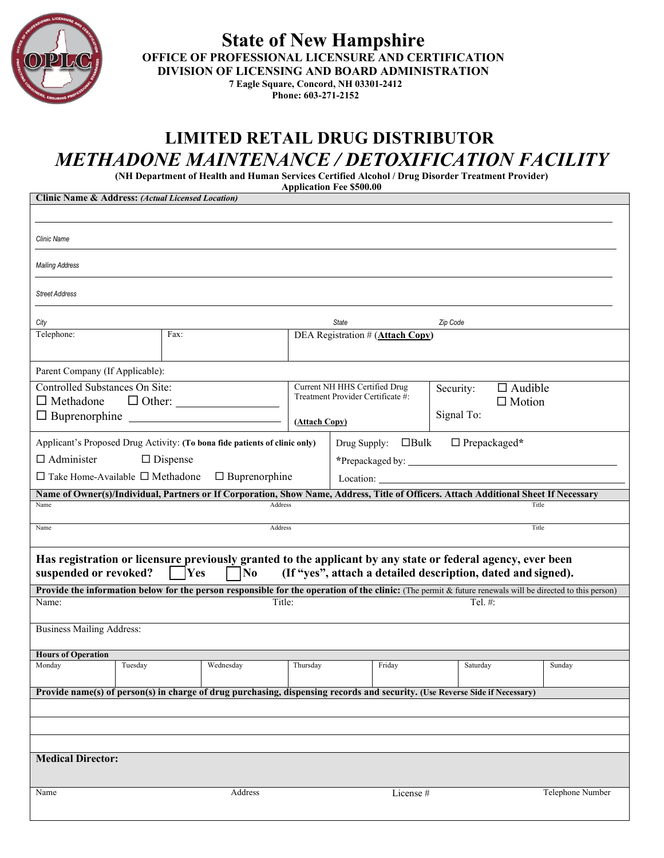

**State of New Hampshire OFFICE OF PROFESSIONAL LICENSURE AND CERTIFICATION DIVISION OF LICENSING AND BOARD ADMINISTRATION 7 Eagle Square, Concord, NH 03301-2412**

## **Phone: 603-271-2152**

## **LIMITED RETAIL DRUG DISTRIBUTOR** *METHADONE MAINTENANCE / DETOXIFICATION FACILITY*

**(NH Department of Health and Human Services Certified Alcohol / Drug Disorder Treatment Provider) Application Fee \$500.00**

| <b>Clinic Name &amp; Address: (Actual Licensed Location)</b>                                                                                             |                      |               |                                   |                                              |                                                              |                             |          |       |                  |  |  |
|----------------------------------------------------------------------------------------------------------------------------------------------------------|----------------------|---------------|-----------------------------------|----------------------------------------------|--------------------------------------------------------------|-----------------------------|----------|-------|------------------|--|--|
|                                                                                                                                                          |                      |               |                                   |                                              |                                                              |                             |          |       |                  |  |  |
|                                                                                                                                                          |                      |               |                                   |                                              |                                                              |                             |          |       |                  |  |  |
| Clinic Name                                                                                                                                              |                      |               |                                   |                                              |                                                              |                             |          |       |                  |  |  |
| <b>Mailing Address</b>                                                                                                                                   |                      |               |                                   |                                              |                                                              |                             |          |       |                  |  |  |
| <b>Street Address</b>                                                                                                                                    |                      |               |                                   |                                              |                                                              |                             |          |       |                  |  |  |
| City                                                                                                                                                     |                      |               |                                   | <b>State</b>                                 |                                                              | Zip Code                    |          |       |                  |  |  |
| Telephone:                                                                                                                                               | Fax:                 |               |                                   | DEA Registration # (Attach Copy)             |                                                              |                             |          |       |                  |  |  |
|                                                                                                                                                          |                      |               |                                   |                                              |                                                              |                             |          |       |                  |  |  |
| Parent Company (If Applicable):                                                                                                                          |                      |               |                                   |                                              |                                                              |                             |          |       |                  |  |  |
| Controlled Substances On Site:                                                                                                                           |                      |               | Current NH HHS Certified Drug     |                                              |                                                              | $\Box$ Audible<br>Security: |          |       |                  |  |  |
| $\Box$ Methadone                                                                                                                                         |                      | $\Box$ Other: | Treatment Provider Certificate #: |                                              |                                                              | $\Box$ Motion               |          |       |                  |  |  |
| $\Box$ Buprenorphine $\Box$                                                                                                                              |                      |               | (Attach Copy)                     |                                              |                                                              | Signal To:                  |          |       |                  |  |  |
| Applicant's Proposed Drug Activity: (To bona fide patients of clinic only)                                                                               |                      |               |                                   | Drug Supply: $\Box$ Bulk $\Box$ Prepackaged* |                                                              |                             |          |       |                  |  |  |
| $\Box$ Administer<br>$\Box$ Dispense                                                                                                                     |                      |               |                                   |                                              |                                                              |                             |          |       |                  |  |  |
| $\Box$ Take Home-Available $\Box$ Methadone<br>$\Box$ Buprenorphine                                                                                      |                      |               | Location:                         |                                              |                                                              |                             |          |       |                  |  |  |
| Name of Owner(s)/Individual, Partners or If Corporation, Show Name, Address, Title of Officers. Attach Additional Sheet If Necessary                     |                      |               |                                   |                                              |                                                              |                             |          |       |                  |  |  |
| Name                                                                                                                                                     |                      | Address       |                                   |                                              |                                                              |                             |          | Title |                  |  |  |
| Address<br>Name                                                                                                                                          |                      |               |                                   |                                              |                                                              |                             | Title    |       |                  |  |  |
|                                                                                                                                                          |                      |               |                                   |                                              |                                                              |                             |          |       |                  |  |  |
| Has registration or licensure previously granted to the applicant by any state or federal agency, ever been                                              |                      |               |                                   |                                              |                                                              |                             |          |       |                  |  |  |
| suspended or revoked?                                                                                                                                    | Yes                  | No            |                                   |                                              | (If "yes", attach a detailed description, dated and signed). |                             |          |       |                  |  |  |
| Provide the information below for the person responsible for the operation of the clinic: (The permit & future renewals will be directed to this person) |                      |               |                                   |                                              |                                                              |                             |          |       |                  |  |  |
| Name:                                                                                                                                                    | Title:<br>Tel. $#$ : |               |                                   |                                              |                                                              |                             |          |       |                  |  |  |
| <b>Business Mailing Address:</b>                                                                                                                         |                      |               |                                   |                                              |                                                              |                             |          |       |                  |  |  |
|                                                                                                                                                          |                      |               |                                   |                                              |                                                              |                             |          |       |                  |  |  |
| <b>Hours of Operation</b><br>Monday<br>Tuesday                                                                                                           |                      | Wednesday     | Thursday                          |                                              | Friday                                                       |                             | Saturday |       | Sunday           |  |  |
|                                                                                                                                                          |                      |               |                                   |                                              |                                                              |                             |          |       |                  |  |  |
| Provide name(s) of person(s) in charge of drug purchasing, dispensing records and security. (Use Reverse Side if Necessary)                              |                      |               |                                   |                                              |                                                              |                             |          |       |                  |  |  |
|                                                                                                                                                          |                      |               |                                   |                                              |                                                              |                             |          |       |                  |  |  |
|                                                                                                                                                          |                      |               |                                   |                                              |                                                              |                             |          |       |                  |  |  |
|                                                                                                                                                          |                      |               |                                   |                                              |                                                              |                             |          |       |                  |  |  |
| <b>Medical Director:</b>                                                                                                                                 |                      |               |                                   |                                              |                                                              |                             |          |       |                  |  |  |
|                                                                                                                                                          |                      |               |                                   |                                              |                                                              |                             |          |       |                  |  |  |
|                                                                                                                                                          |                      |               |                                   |                                              |                                                              |                             |          |       | Telephone Number |  |  |
| Name                                                                                                                                                     |                      | Address       |                                   |                                              | License#                                                     |                             |          |       |                  |  |  |